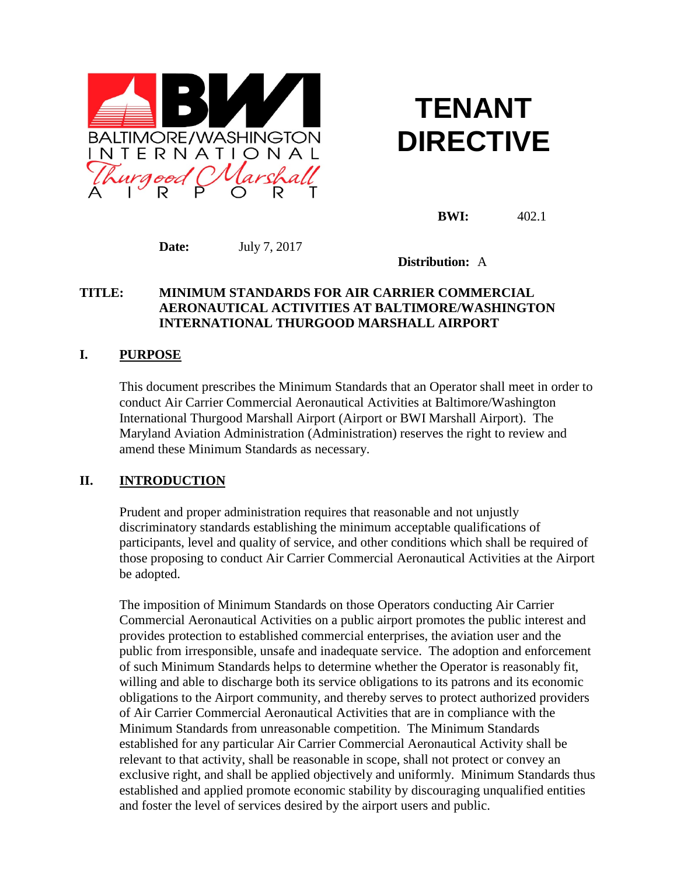

# **TENANT DIRECTIVE**

**BWI:** 402.1

**Date:** July 7, 2017

**Distribution:** A

## **TITLE: MINIMUM STANDARDS FOR AIR CARRIER COMMERCIAL AERONAUTICAL ACTIVITIES AT BALTIMORE/WASHINGTON INTERNATIONAL THURGOOD MARSHALL AIRPORT**

## **I. PURPOSE**

This document prescribes the Minimum Standards that an Operator shall meet in order to conduct Air Carrier Commercial Aeronautical Activities at Baltimore/Washington International Thurgood Marshall Airport (Airport or BWI Marshall Airport). The Maryland Aviation Administration (Administration) reserves the right to review and amend these Minimum Standards as necessary.

# **II. INTRODUCTION**

Prudent and proper administration requires that reasonable and not unjustly discriminatory standards establishing the minimum acceptable qualifications of participants, level and quality of service, and other conditions which shall be required of those proposing to conduct Air Carrier Commercial Aeronautical Activities at the Airport be adopted.

The imposition of Minimum Standards on those Operators conducting Air Carrier Commercial Aeronautical Activities on a public airport promotes the public interest and provides protection to established commercial enterprises, the aviation user and the public from irresponsible, unsafe and inadequate service. The adoption and enforcement of such Minimum Standards helps to determine whether the Operator is reasonably fit, willing and able to discharge both its service obligations to its patrons and its economic obligations to the Airport community, and thereby serves to protect authorized providers of Air Carrier Commercial Aeronautical Activities that are in compliance with the Minimum Standards from unreasonable competition. The Minimum Standards established for any particular Air Carrier Commercial Aeronautical Activity shall be relevant to that activity, shall be reasonable in scope, shall not protect or convey an exclusive right, and shall be applied objectively and uniformly. Minimum Standards thus established and applied promote economic stability by discouraging unqualified entities and foster the level of services desired by the airport users and public.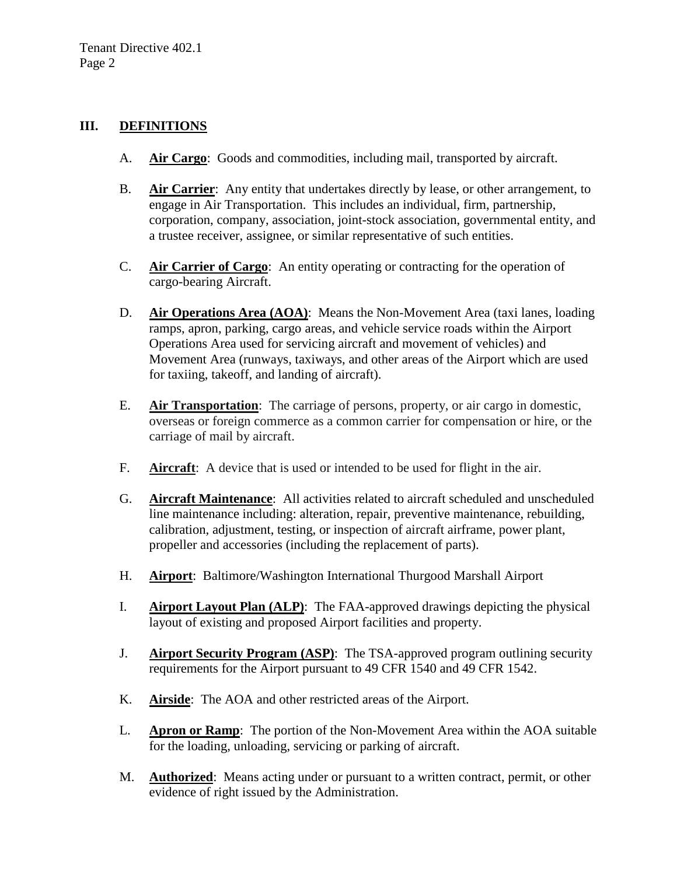#### **III. DEFINITIONS**

- A. **Air Cargo:** Goods and commodities, including mail, transported by aircraft.
- B. **Air Carrier**: Any entity that undertakes directly by lease, or other arrangement, to engage in Air Transportation. This includes an individual, firm, partnership, corporation, company, association, joint-stock association, governmental entity, and a trustee receiver, assignee, or similar representative of such entities.
- C. **Air Carrier of Cargo**: An entity operating or contracting for the operation of cargo-bearing Aircraft.
- D. **Air Operations Area (AOA)**: Means the Non-Movement Area (taxi lanes, loading ramps, apron, parking, cargo areas, and vehicle service roads within the Airport Operations Area used for servicing aircraft and movement of vehicles) and Movement Area (runways, taxiways, and other areas of the Airport which are used for taxiing, takeoff, and landing of aircraft).
- E. **Air Transportation**: The carriage of persons, property, or air cargo in domestic, overseas or foreign commerce as a common carrier for compensation or hire, or the carriage of mail by aircraft.
- F. **Aircraft**: A device that is used or intended to be used for flight in the air.
- G. **Aircraft Maintenance**: All activities related to aircraft scheduled and unscheduled line maintenance including: alteration, repair, preventive maintenance, rebuilding, calibration, adjustment, testing, or inspection of aircraft airframe, power plant, propeller and accessories (including the replacement of parts).
- H. **Airport**: Baltimore/Washington International Thurgood Marshall Airport
- I. **Airport Layout Plan (ALP)**: The FAA-approved drawings depicting the physical layout of existing and proposed Airport facilities and property.
- J. **Airport Security Program (ASP)**: The TSA-approved program outlining security requirements for the Airport pursuant to 49 CFR 1540 and 49 CFR 1542.
- K. **Airside**: The AOA and other restricted areas of the Airport.
- L. **Apron or Ramp**: The portion of the Non-Movement Area within the AOA suitable for the loading, unloading, servicing or parking of aircraft.
- M. **Authorized**: Means acting under or pursuant to a written contract, permit, or other evidence of right issued by the Administration.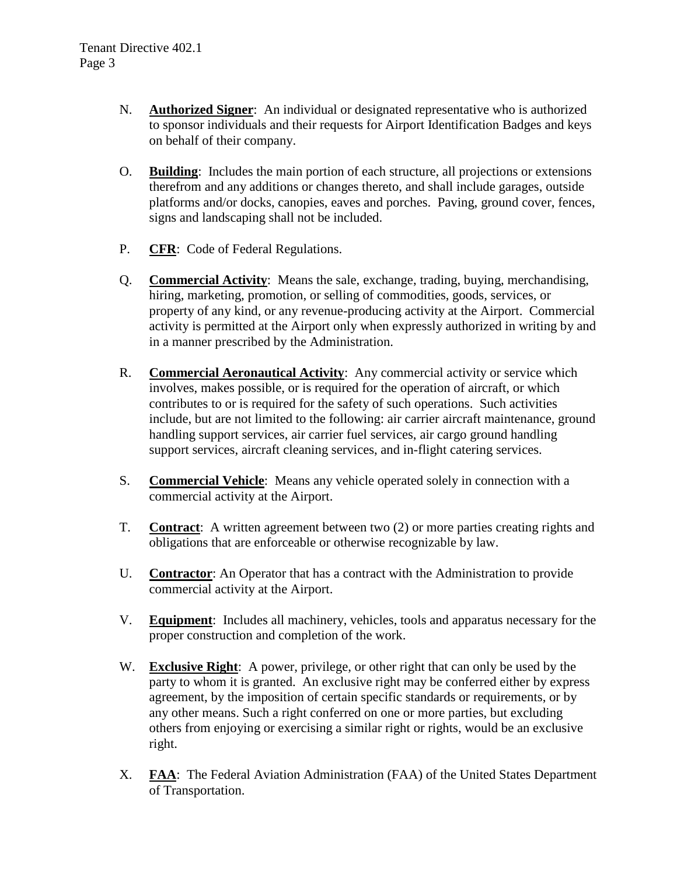- N. **Authorized Signer**: An individual or designated representative who is authorized to sponsor individuals and their requests for Airport Identification Badges and keys on behalf of their company.
- O. **Building**: Includes the main portion of each structure, all projections or extensions therefrom and any additions or changes thereto, and shall include garages, outside platforms and/or docks, canopies, eaves and porches. Paving, ground cover, fences, signs and landscaping shall not be included.
- P. **CFR**: Code of Federal Regulations.
- Q. **Commercial Activity**: Means the sale, exchange, trading, buying, merchandising, hiring, marketing, promotion, or selling of commodities, goods, services, or property of any kind, or any revenue-producing activity at the Airport. Commercial activity is permitted at the Airport only when expressly authorized in writing by and in a manner prescribed by the Administration.
- R. **Commercial Aeronautical Activity**: Any commercial activity or service which involves, makes possible, or is required for the operation of aircraft, or which contributes to or is required for the safety of such operations. Such activities include, but are not limited to the following: air carrier aircraft maintenance, ground handling support services, air carrier fuel services, air cargo ground handling support services, aircraft cleaning services, and in-flight catering services.
- S. **Commercial Vehicle**: Means any vehicle operated solely in connection with a commercial activity at the Airport.
- T. **Contract**: A written agreement between two (2) or more parties creating rights and obligations that are enforceable or otherwise recognizable by law.
- U. **Contractor**: An Operator that has a contract with the Administration to provide commercial activity at the Airport.
- V. **Equipment**: Includes all machinery, vehicles, tools and apparatus necessary for the proper construction and completion of the work.
- W. **Exclusive Right**: A power, privilege, or other right that can only be used by the party to whom it is granted. An exclusive right may be conferred either by express agreement, by the imposition of certain specific standards or requirements, or by any other means. Such a right conferred on one or more parties, but excluding others from enjoying or exercising a similar right or rights, would be an exclusive right.
- X. **FAA**: The Federal Aviation Administration (FAA) of the United States Department of Transportation.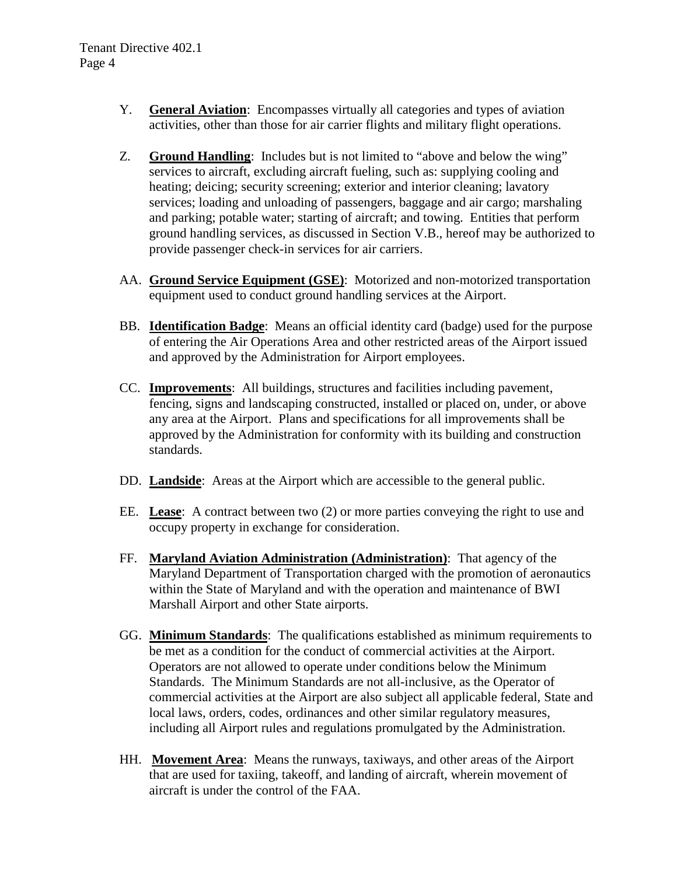- Y. **General Aviation**: Encompasses virtually all categories and types of aviation activities, other than those for air carrier flights and military flight operations.
- Z. **Ground Handling**: Includes but is not limited to "above and below the wing" services to aircraft, excluding aircraft fueling, such as: supplying cooling and heating; deicing; security screening; exterior and interior cleaning; lavatory services; loading and unloading of passengers, baggage and air cargo; marshaling and parking; potable water; starting of aircraft; and towing. Entities that perform ground handling services, as discussed in Section V.B., hereof may be authorized to provide passenger check-in services for air carriers.
- AA. **Ground Service Equipment (GSE)**: Motorized and non-motorized transportation equipment used to conduct ground handling services at the Airport.
- BB. **Identification Badge**: Means an official identity card (badge) used for the purpose of entering the Air Operations Area and other restricted areas of the Airport issued and approved by the Administration for Airport employees.
- CC. **Improvements**: All buildings, structures and facilities including pavement, fencing, signs and landscaping constructed, installed or placed on, under, or above any area at the Airport. Plans and specifications for all improvements shall be approved by the Administration for conformity with its building and construction standards.
- DD. **Landside**: Areas at the Airport which are accessible to the general public.
- EE. **Lease**: A contract between two (2) or more parties conveying the right to use and occupy property in exchange for consideration.
- FF. **Maryland Aviation Administration (Administration)**: That agency of the Maryland Department of Transportation charged with the promotion of aeronautics within the State of Maryland and with the operation and maintenance of BWI Marshall Airport and other State airports.
- GG. **Minimum Standards**: The qualifications established as minimum requirements to be met as a condition for the conduct of commercial activities at the Airport. Operators are not allowed to operate under conditions below the Minimum Standards. The Minimum Standards are not all-inclusive, as the Operator of commercial activities at the Airport are also subject all applicable federal, State and local laws, orders, codes, ordinances and other similar regulatory measures, including all Airport rules and regulations promulgated by the Administration.
- HH. **Movement Area**: Means the runways, taxiways, and other areas of the Airport that are used for taxiing, takeoff, and landing of aircraft, wherein movement of aircraft is under the control of the FAA.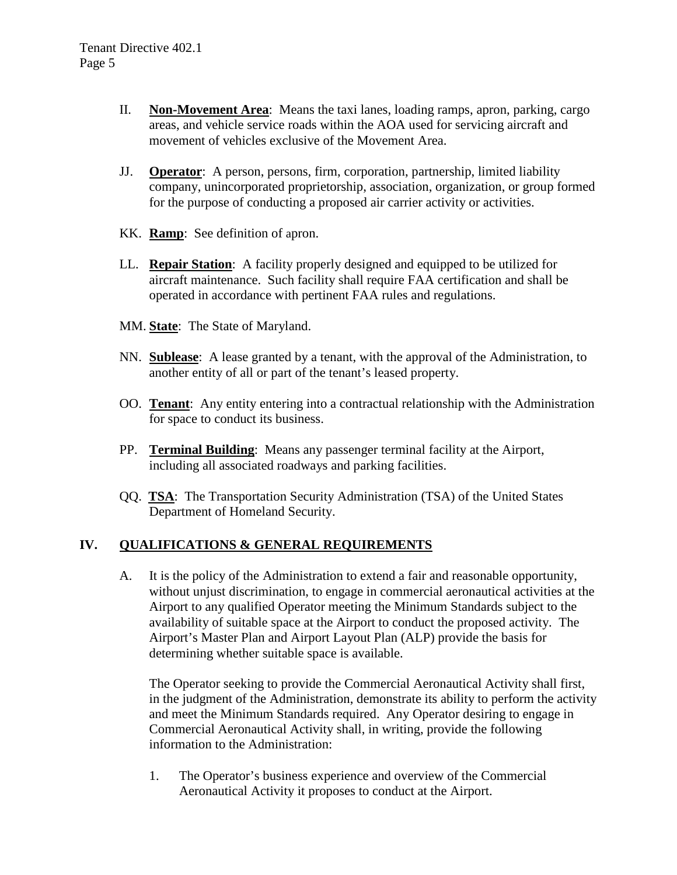- II. **Non-Movement Area**: Means the taxi lanes, loading ramps, apron, parking, cargo areas, and vehicle service roads within the AOA used for servicing aircraft and movement of vehicles exclusive of the Movement Area.
- JJ. **Operator**: A person, persons, firm, corporation, partnership, limited liability company, unincorporated proprietorship, association, organization, or group formed for the purpose of conducting a proposed air carrier activity or activities.
- KK. **Ramp**: See definition of apron.
- LL. **Repair Station**: A facility properly designed and equipped to be utilized for aircraft maintenance. Such facility shall require FAA certification and shall be operated in accordance with pertinent FAA rules and regulations.
- MM. **State**: The State of Maryland.
- NN. **Sublease**: A lease granted by a tenant, with the approval of the Administration, to another entity of all or part of the tenant's leased property.
- OO. **Tenant**: Any entity entering into a contractual relationship with the Administration for space to conduct its business.
- PP. **Terminal Building**: Means any passenger terminal facility at the Airport, including all associated roadways and parking facilities.
- QQ. **TSA**: The Transportation Security Administration (TSA) of the United States Department of Homeland Security.

## **IV. QUALIFICATIONS & GENERAL REQUIREMENTS**

A. It is the policy of the Administration to extend a fair and reasonable opportunity, without unjust discrimination, to engage in commercial aeronautical activities at the Airport to any qualified Operator meeting the Minimum Standards subject to the availability of suitable space at the Airport to conduct the proposed activity. The Airport's Master Plan and Airport Layout Plan (ALP) provide the basis for determining whether suitable space is available.

The Operator seeking to provide the Commercial Aeronautical Activity shall first, in the judgment of the Administration, demonstrate its ability to perform the activity and meet the Minimum Standards required. Any Operator desiring to engage in Commercial Aeronautical Activity shall, in writing, provide the following information to the Administration:

1. The Operator's business experience and overview of the Commercial Aeronautical Activity it proposes to conduct at the Airport.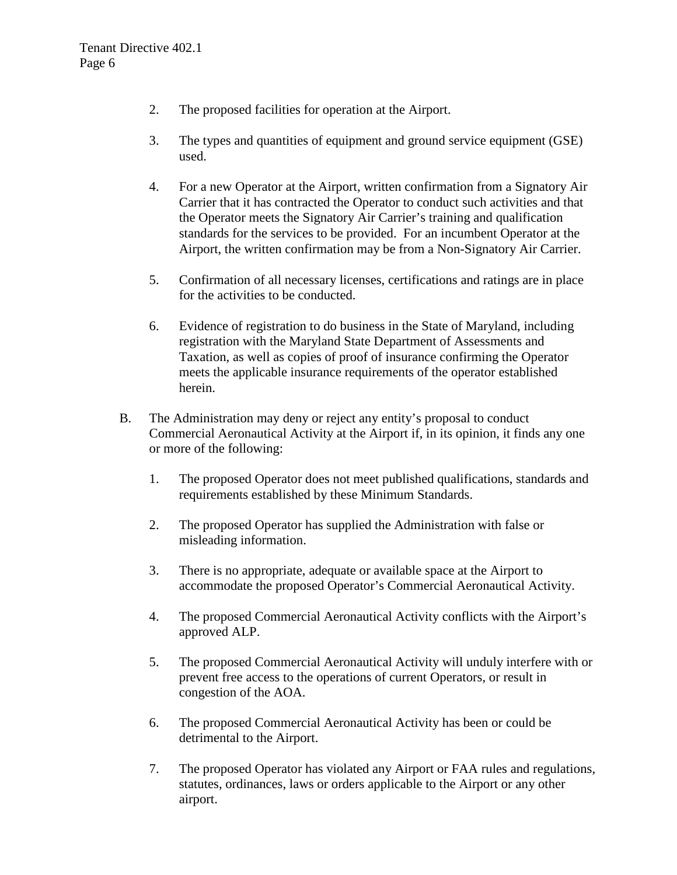- 2. The proposed facilities for operation at the Airport.
- 3. The types and quantities of equipment and ground service equipment (GSE) used.
- 4. For a new Operator at the Airport, written confirmation from a Signatory Air Carrier that it has contracted the Operator to conduct such activities and that the Operator meets the Signatory Air Carrier's training and qualification standards for the services to be provided. For an incumbent Operator at the Airport, the written confirmation may be from a Non-Signatory Air Carrier.
- 5. Confirmation of all necessary licenses, certifications and ratings are in place for the activities to be conducted.
- 6. Evidence of registration to do business in the State of Maryland, including registration with the Maryland State Department of Assessments and Taxation, as well as copies of proof of insurance confirming the Operator meets the applicable insurance requirements of the operator established herein.
- B. The Administration may deny or reject any entity's proposal to conduct Commercial Aeronautical Activity at the Airport if, in its opinion, it finds any one or more of the following:
	- 1. The proposed Operator does not meet published qualifications, standards and requirements established by these Minimum Standards.
	- 2. The proposed Operator has supplied the Administration with false or misleading information.
	- 3. There is no appropriate, adequate or available space at the Airport to accommodate the proposed Operator's Commercial Aeronautical Activity.
	- 4. The proposed Commercial Aeronautical Activity conflicts with the Airport's approved ALP.
	- 5. The proposed Commercial Aeronautical Activity will unduly interfere with or prevent free access to the operations of current Operators, or result in congestion of the AOA.
	- 6. The proposed Commercial Aeronautical Activity has been or could be detrimental to the Airport.
	- 7. The proposed Operator has violated any Airport or FAA rules and regulations, statutes, ordinances, laws or orders applicable to the Airport or any other airport.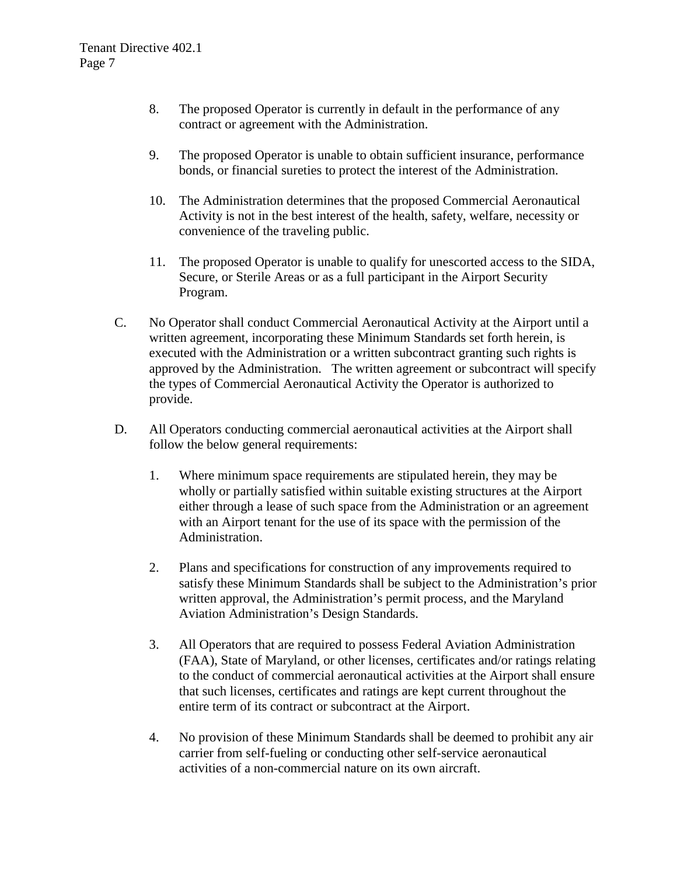- 8. The proposed Operator is currently in default in the performance of any contract or agreement with the Administration.
- 9. The proposed Operator is unable to obtain sufficient insurance, performance bonds, or financial sureties to protect the interest of the Administration.
- 10. The Administration determines that the proposed Commercial Aeronautical Activity is not in the best interest of the health, safety, welfare, necessity or convenience of the traveling public.
- 11. The proposed Operator is unable to qualify for unescorted access to the SIDA, Secure, or Sterile Areas or as a full participant in the Airport Security Program.
- C. No Operator shall conduct Commercial Aeronautical Activity at the Airport until a written agreement, incorporating these Minimum Standards set forth herein, is executed with the Administration or a written subcontract granting such rights is approved by the Administration. The written agreement or subcontract will specify the types of Commercial Aeronautical Activity the Operator is authorized to provide.
- D. All Operators conducting commercial aeronautical activities at the Airport shall follow the below general requirements:
	- 1. Where minimum space requirements are stipulated herein, they may be wholly or partially satisfied within suitable existing structures at the Airport either through a lease of such space from the Administration or an agreement with an Airport tenant for the use of its space with the permission of the Administration.
	- 2. Plans and specifications for construction of any improvements required to satisfy these Minimum Standards shall be subject to the Administration's prior written approval, the Administration's permit process, and the Maryland Aviation Administration's Design Standards.
	- 3. All Operators that are required to possess Federal Aviation Administration (FAA), State of Maryland, or other licenses, certificates and/or ratings relating to the conduct of commercial aeronautical activities at the Airport shall ensure that such licenses, certificates and ratings are kept current throughout the entire term of its contract or subcontract at the Airport.
	- 4. No provision of these Minimum Standards shall be deemed to prohibit any air carrier from self-fueling or conducting other self-service aeronautical activities of a non-commercial nature on its own aircraft.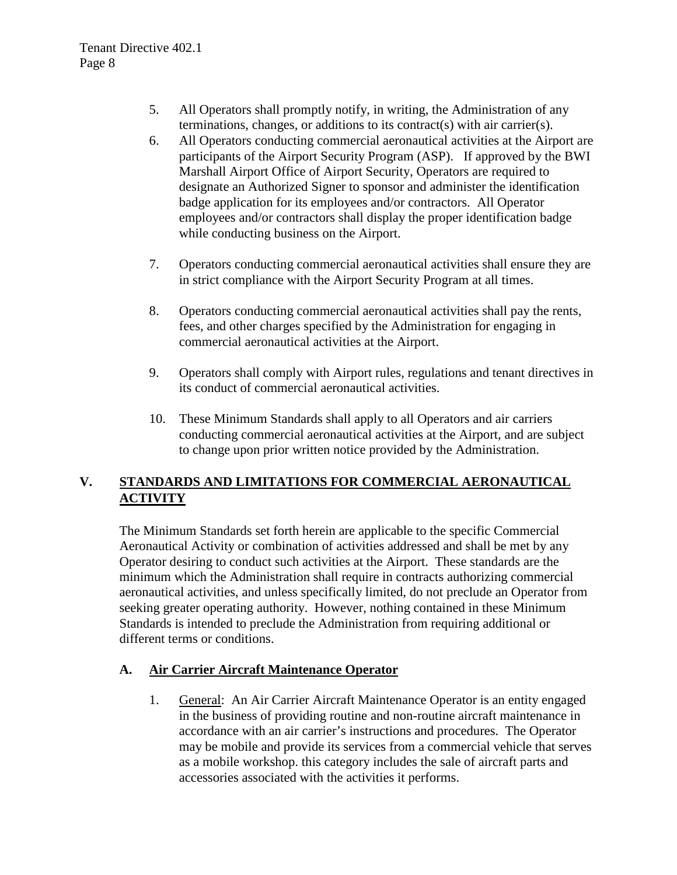- 5. All Operators shall promptly notify, in writing, the Administration of any terminations, changes, or additions to its contract(s) with air carrier(s).
- 6. All Operators conducting commercial aeronautical activities at the Airport are participants of the Airport Security Program (ASP). If approved by the BWI Marshall Airport Office of Airport Security, Operators are required to designate an Authorized Signer to sponsor and administer the identification badge application for its employees and/or contractors. All Operator employees and/or contractors shall display the proper identification badge while conducting business on the Airport.
- 7. Operators conducting commercial aeronautical activities shall ensure they are in strict compliance with the Airport Security Program at all times.
- 8. Operators conducting commercial aeronautical activities shall pay the rents, fees, and other charges specified by the Administration for engaging in commercial aeronautical activities at the Airport.
- 9. Operators shall comply with Airport rules, regulations and tenant directives in its conduct of commercial aeronautical activities.
- 10. These Minimum Standards shall apply to all Operators and air carriers conducting commercial aeronautical activities at the Airport, and are subject to change upon prior written notice provided by the Administration.

## **V. STANDARDS AND LIMITATIONS FOR COMMERCIAL AERONAUTICAL ACTIVITY**

The Minimum Standards set forth herein are applicable to the specific Commercial Aeronautical Activity or combination of activities addressed and shall be met by any Operator desiring to conduct such activities at the Airport. These standards are the minimum which the Administration shall require in contracts authorizing commercial aeronautical activities, and unless specifically limited, do not preclude an Operator from seeking greater operating authority. However, nothing contained in these Minimum Standards is intended to preclude the Administration from requiring additional or different terms or conditions.

# **A. Air Carrier Aircraft Maintenance Operator**

1. General: An Air Carrier Aircraft Maintenance Operator is an entity engaged in the business of providing routine and non-routine aircraft maintenance in accordance with an air carrier's instructions and procedures. The Operator may be mobile and provide its services from a commercial vehicle that serves as a mobile workshop. this category includes the sale of aircraft parts and accessories associated with the activities it performs.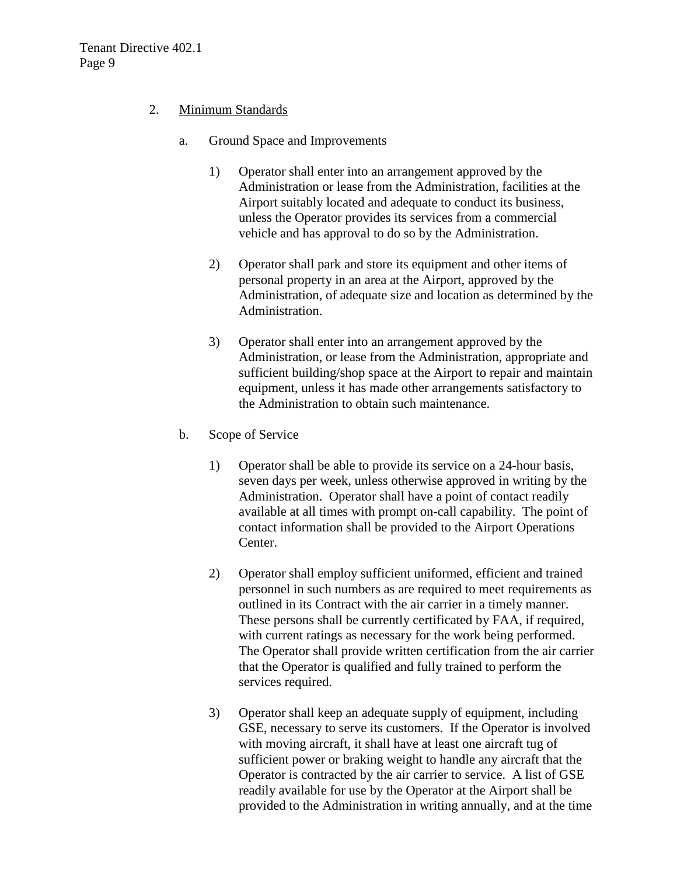#### 2. Minimum Standards

- a. Ground Space and Improvements
	- 1) Operator shall enter into an arrangement approved by the Administration or lease from the Administration, facilities at the Airport suitably located and adequate to conduct its business, unless the Operator provides its services from a commercial vehicle and has approval to do so by the Administration.
	- 2) Operator shall park and store its equipment and other items of personal property in an area at the Airport, approved by the Administration, of adequate size and location as determined by the Administration.
	- 3) Operator shall enter into an arrangement approved by the Administration, or lease from the Administration, appropriate and sufficient building/shop space at the Airport to repair and maintain equipment, unless it has made other arrangements satisfactory to the Administration to obtain such maintenance.
- b. Scope of Service
	- 1) Operator shall be able to provide its service on a 24-hour basis, seven days per week, unless otherwise approved in writing by the Administration. Operator shall have a point of contact readily available at all times with prompt on-call capability. The point of contact information shall be provided to the Airport Operations Center.
	- 2) Operator shall employ sufficient uniformed, efficient and trained personnel in such numbers as are required to meet requirements as outlined in its Contract with the air carrier in a timely manner. These persons shall be currently certificated by FAA, if required, with current ratings as necessary for the work being performed. The Operator shall provide written certification from the air carrier that the Operator is qualified and fully trained to perform the services required.
	- 3) Operator shall keep an adequate supply of equipment, including GSE, necessary to serve its customers. If the Operator is involved with moving aircraft, it shall have at least one aircraft tug of sufficient power or braking weight to handle any aircraft that the Operator is contracted by the air carrier to service. A list of GSE readily available for use by the Operator at the Airport shall be provided to the Administration in writing annually, and at the time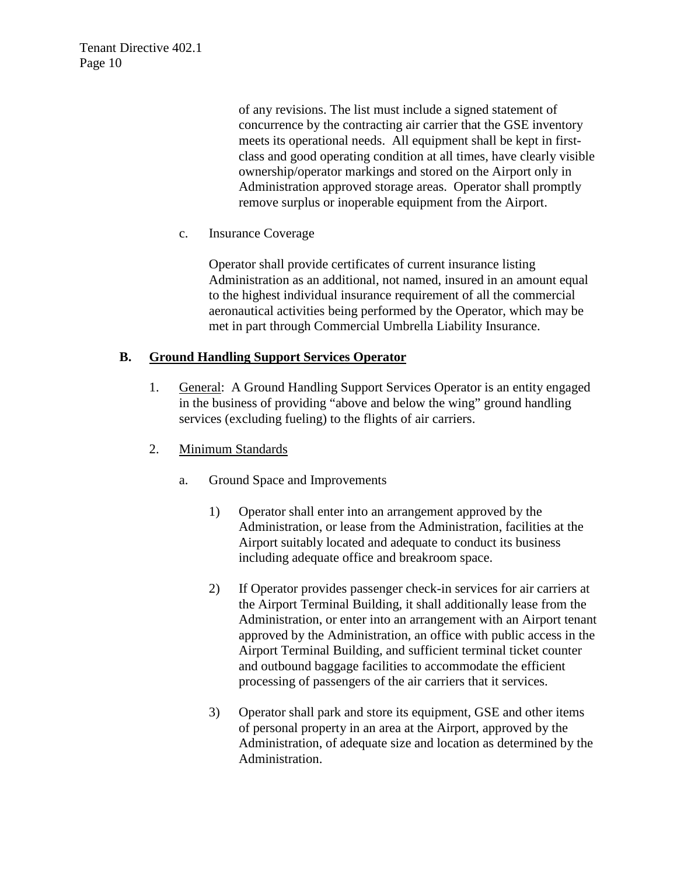Tenant Directive 402.1 Page 10

> of any revisions. The list must include a signed statement of concurrence by the contracting air carrier that the GSE inventory meets its operational needs. All equipment shall be kept in firstclass and good operating condition at all times, have clearly visible ownership/operator markings and stored on the Airport only in Administration approved storage areas. Operator shall promptly remove surplus or inoperable equipment from the Airport.

c. Insurance Coverage

Operator shall provide certificates of current insurance listing Administration as an additional, not named, insured in an amount equal to the highest individual insurance requirement of all the commercial aeronautical activities being performed by the Operator, which may be met in part through Commercial Umbrella Liability Insurance.

#### **B. Ground Handling Support Services Operator**

- 1. General: A Ground Handling Support Services Operator is an entity engaged in the business of providing "above and below the wing" ground handling services (excluding fueling) to the flights of air carriers.
- 2. Minimum Standards
	- a. Ground Space and Improvements
		- 1) Operator shall enter into an arrangement approved by the Administration, or lease from the Administration, facilities at the Airport suitably located and adequate to conduct its business including adequate office and breakroom space.
		- 2) If Operator provides passenger check-in services for air carriers at the Airport Terminal Building, it shall additionally lease from the Administration, or enter into an arrangement with an Airport tenant approved by the Administration, an office with public access in the Airport Terminal Building, and sufficient terminal ticket counter and outbound baggage facilities to accommodate the efficient processing of passengers of the air carriers that it services.
		- 3) Operator shall park and store its equipment, GSE and other items of personal property in an area at the Airport, approved by the Administration, of adequate size and location as determined by the Administration.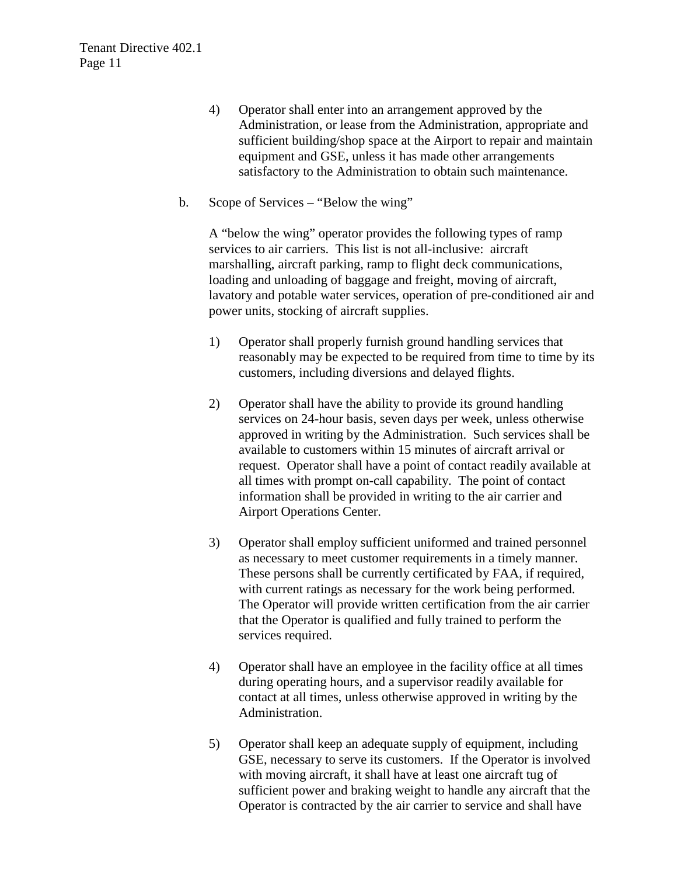- 4) Operator shall enter into an arrangement approved by the Administration, or lease from the Administration, appropriate and sufficient building/shop space at the Airport to repair and maintain equipment and GSE, unless it has made other arrangements satisfactory to the Administration to obtain such maintenance.
- b. Scope of Services "Below the wing"

A "below the wing" operator provides the following types of ramp services to air carriers. This list is not all-inclusive: aircraft marshalling, aircraft parking, ramp to flight deck communications, loading and unloading of baggage and freight, moving of aircraft, lavatory and potable water services, operation of pre-conditioned air and power units, stocking of aircraft supplies.

- 1) Operator shall properly furnish ground handling services that reasonably may be expected to be required from time to time by its customers, including diversions and delayed flights.
- 2) Operator shall have the ability to provide its ground handling services on 24-hour basis, seven days per week, unless otherwise approved in writing by the Administration. Such services shall be available to customers within 15 minutes of aircraft arrival or request. Operator shall have a point of contact readily available at all times with prompt on-call capability. The point of contact information shall be provided in writing to the air carrier and Airport Operations Center.
- 3) Operator shall employ sufficient uniformed and trained personnel as necessary to meet customer requirements in a timely manner. These persons shall be currently certificated by FAA, if required, with current ratings as necessary for the work being performed. The Operator will provide written certification from the air carrier that the Operator is qualified and fully trained to perform the services required.
- 4) Operator shall have an employee in the facility office at all times during operating hours, and a supervisor readily available for contact at all times, unless otherwise approved in writing by the Administration.
- 5) Operator shall keep an adequate supply of equipment, including GSE, necessary to serve its customers. If the Operator is involved with moving aircraft, it shall have at least one aircraft tug of sufficient power and braking weight to handle any aircraft that the Operator is contracted by the air carrier to service and shall have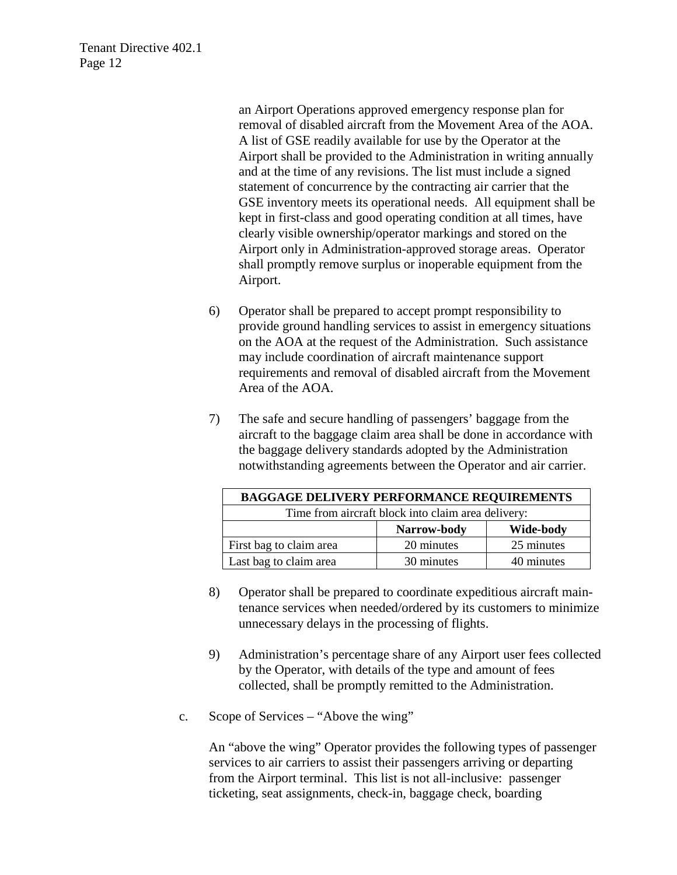Tenant Directive 402.1 Page 12

> an Airport Operations approved emergency response plan for removal of disabled aircraft from the Movement Area of the AOA. A list of GSE readily available for use by the Operator at the Airport shall be provided to the Administration in writing annually and at the time of any revisions. The list must include a signed statement of concurrence by the contracting air carrier that the GSE inventory meets its operational needs. All equipment shall be kept in first-class and good operating condition at all times, have clearly visible ownership/operator markings and stored on the Airport only in Administration-approved storage areas. Operator shall promptly remove surplus or inoperable equipment from the Airport.

- 6) Operator shall be prepared to accept prompt responsibility to provide ground handling services to assist in emergency situations on the AOA at the request of the Administration. Such assistance may include coordination of aircraft maintenance support requirements and removal of disabled aircraft from the Movement Area of the AOA.
- 7) The safe and secure handling of passengers' baggage from the aircraft to the baggage claim area shall be done in accordance with the baggage delivery standards adopted by the Administration notwithstanding agreements between the Operator and air carrier.

| <b>BAGGAGE DELIVERY PERFORMANCE REQUIREMENTS</b>   |             |            |
|----------------------------------------------------|-------------|------------|
| Time from aircraft block into claim area delivery: |             |            |
|                                                    | Narrow-body | Wide-body  |
| First bag to claim area                            | 20 minutes  | 25 minutes |
| Last bag to claim area                             | 30 minutes  | 40 minutes |

- 8) Operator shall be prepared to coordinate expeditious aircraft maintenance services when needed/ordered by its customers to minimize unnecessary delays in the processing of flights.
- 9) Administration's percentage share of any Airport user fees collected by the Operator, with details of the type and amount of fees collected, shall be promptly remitted to the Administration.
- c. Scope of Services "Above the wing"

An "above the wing" Operator provides the following types of passenger services to air carriers to assist their passengers arriving or departing from the Airport terminal. This list is not all-inclusive: passenger ticketing, seat assignments, check-in, baggage check, boarding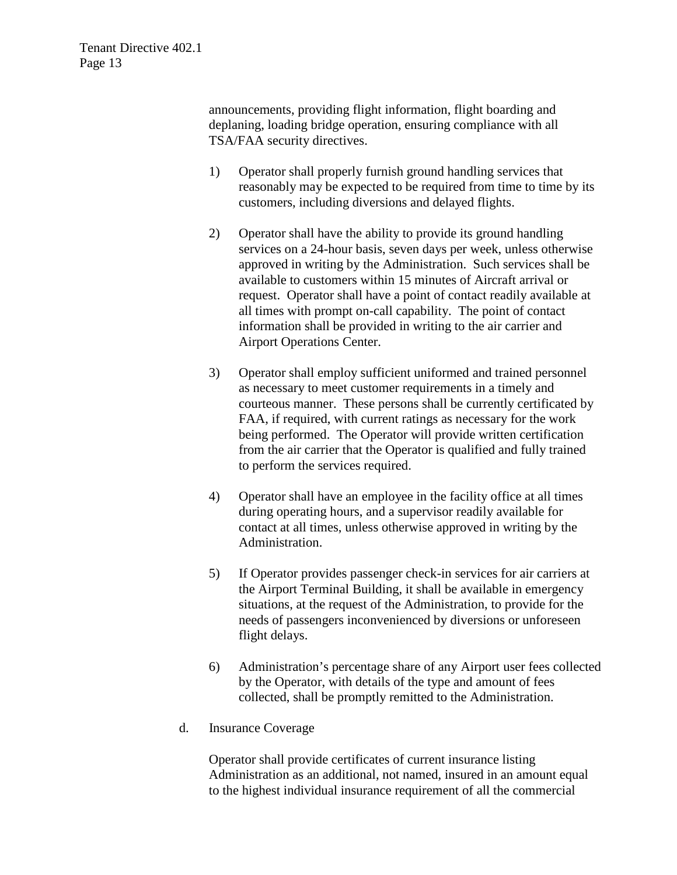announcements, providing flight information, flight boarding and deplaning, loading bridge operation, ensuring compliance with all TSA/FAA security directives.

- 1) Operator shall properly furnish ground handling services that reasonably may be expected to be required from time to time by its customers, including diversions and delayed flights.
- 2) Operator shall have the ability to provide its ground handling services on a 24-hour basis, seven days per week, unless otherwise approved in writing by the Administration. Such services shall be available to customers within 15 minutes of Aircraft arrival or request. Operator shall have a point of contact readily available at all times with prompt on-call capability. The point of contact information shall be provided in writing to the air carrier and Airport Operations Center.
- 3) Operator shall employ sufficient uniformed and trained personnel as necessary to meet customer requirements in a timely and courteous manner. These persons shall be currently certificated by FAA, if required, with current ratings as necessary for the work being performed. The Operator will provide written certification from the air carrier that the Operator is qualified and fully trained to perform the services required.
- 4) Operator shall have an employee in the facility office at all times during operating hours, and a supervisor readily available for contact at all times, unless otherwise approved in writing by the Administration.
- 5) If Operator provides passenger check-in services for air carriers at the Airport Terminal Building, it shall be available in emergency situations, at the request of the Administration, to provide for the needs of passengers inconvenienced by diversions or unforeseen flight delays.
- 6) Administration's percentage share of any Airport user fees collected by the Operator, with details of the type and amount of fees collected, shall be promptly remitted to the Administration.
- d. Insurance Coverage

Operator shall provide certificates of current insurance listing Administration as an additional, not named, insured in an amount equal to the highest individual insurance requirement of all the commercial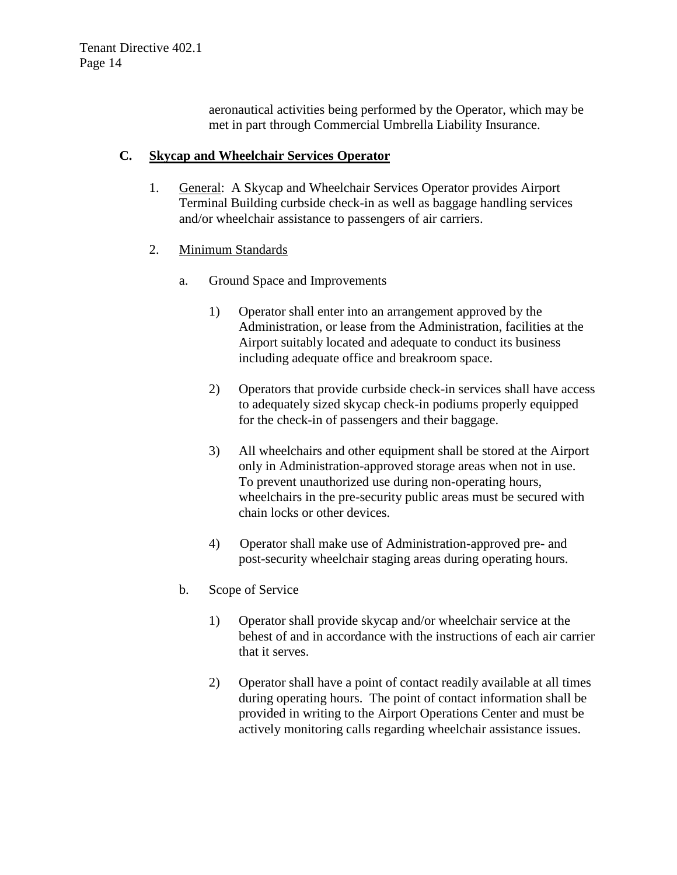aeronautical activities being performed by the Operator, which may be met in part through Commercial Umbrella Liability Insurance.

#### **C. Skycap and Wheelchair Services Operator**

1. General: A Skycap and Wheelchair Services Operator provides Airport Terminal Building curbside check-in as well as baggage handling services and/or wheelchair assistance to passengers of air carriers.

#### 2. Minimum Standards

- a. Ground Space and Improvements
	- 1) Operator shall enter into an arrangement approved by the Administration, or lease from the Administration, facilities at the Airport suitably located and adequate to conduct its business including adequate office and breakroom space.
	- 2) Operators that provide curbside check-in services shall have access to adequately sized skycap check-in podiums properly equipped for the check-in of passengers and their baggage.
	- 3) All wheelchairs and other equipment shall be stored at the Airport only in Administration-approved storage areas when not in use. To prevent unauthorized use during non-operating hours, wheelchairs in the pre-security public areas must be secured with chain locks or other devices.
	- 4) Operator shall make use of Administration-approved pre- and post-security wheelchair staging areas during operating hours.
- b. Scope of Service
	- 1) Operator shall provide skycap and/or wheelchair service at the behest of and in accordance with the instructions of each air carrier that it serves.
	- 2) Operator shall have a point of contact readily available at all times during operating hours. The point of contact information shall be provided in writing to the Airport Operations Center and must be actively monitoring calls regarding wheelchair assistance issues.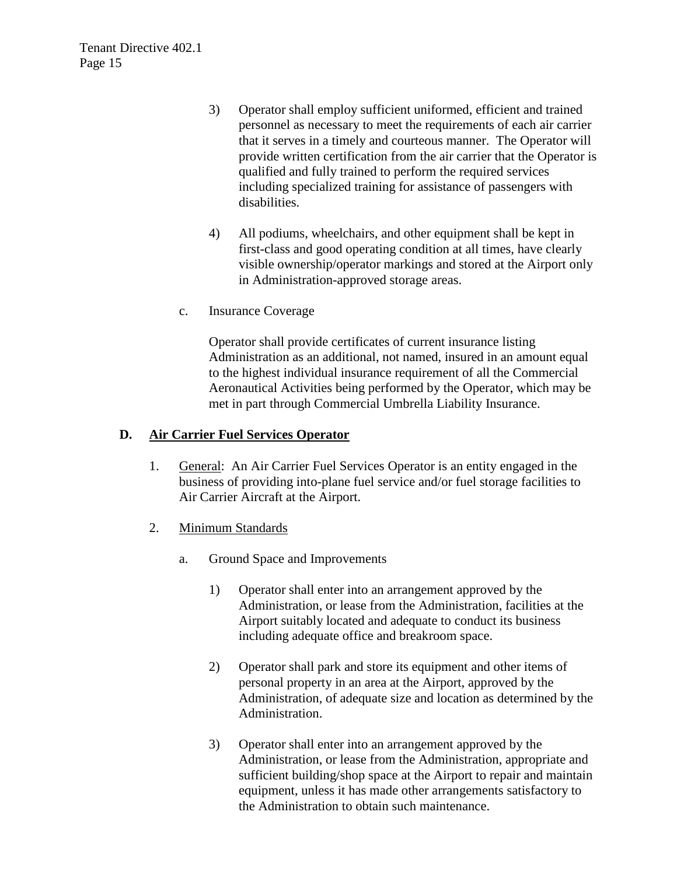- 3) Operator shall employ sufficient uniformed, efficient and trained personnel as necessary to meet the requirements of each air carrier that it serves in a timely and courteous manner. The Operator will provide written certification from the air carrier that the Operator is qualified and fully trained to perform the required services including specialized training for assistance of passengers with disabilities.
- 4) All podiums, wheelchairs, and other equipment shall be kept in first-class and good operating condition at all times, have clearly visible ownership/operator markings and stored at the Airport only in Administration-approved storage areas.
- c. Insurance Coverage

Operator shall provide certificates of current insurance listing Administration as an additional, not named, insured in an amount equal to the highest individual insurance requirement of all the Commercial Aeronautical Activities being performed by the Operator, which may be met in part through Commercial Umbrella Liability Insurance.

#### **D. Air Carrier Fuel Services Operator**

- 1. General: An Air Carrier Fuel Services Operator is an entity engaged in the business of providing into-plane fuel service and/or fuel storage facilities to Air Carrier Aircraft at the Airport.
- 2. Minimum Standards
	- a. Ground Space and Improvements
		- 1) Operator shall enter into an arrangement approved by the Administration, or lease from the Administration, facilities at the Airport suitably located and adequate to conduct its business including adequate office and breakroom space.
		- 2) Operator shall park and store its equipment and other items of personal property in an area at the Airport, approved by the Administration, of adequate size and location as determined by the Administration.
		- 3) Operator shall enter into an arrangement approved by the Administration, or lease from the Administration, appropriate and sufficient building/shop space at the Airport to repair and maintain equipment, unless it has made other arrangements satisfactory to the Administration to obtain such maintenance.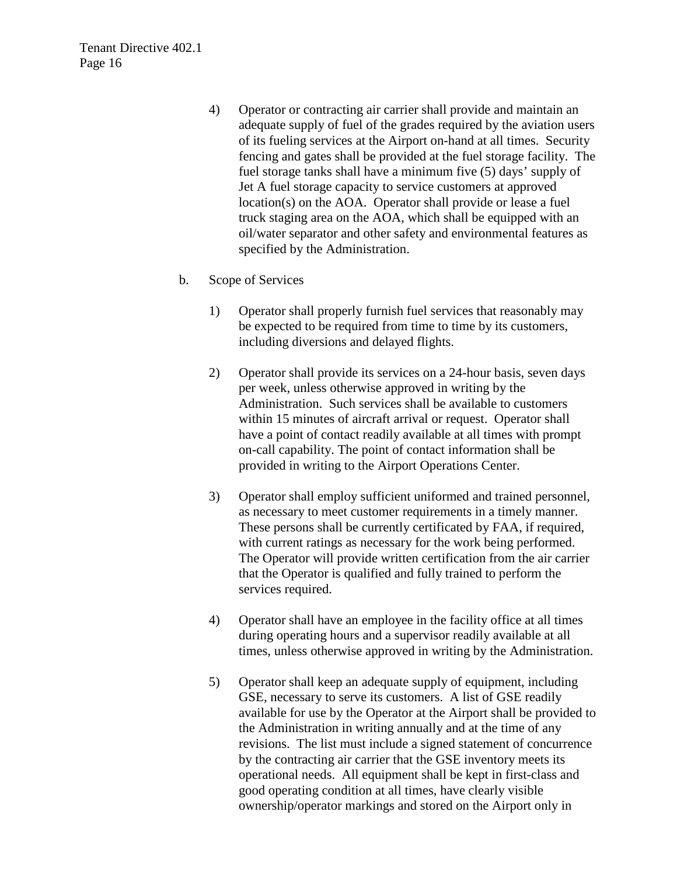- 4) Operator or contracting air carrier shall provide and maintain an adequate supply of fuel of the grades required by the aviation users of its fueling services at the Airport on-hand at all times. Security fencing and gates shall be provided at the fuel storage facility. The fuel storage tanks shall have a minimum five (5) days' supply of Jet A fuel storage capacity to service customers at approved location(s) on the AOA. Operator shall provide or lease a fuel truck staging area on the AOA, which shall be equipped with an oil/water separator and other safety and environmental features as specified by the Administration.
- b. Scope of Services
	- 1) Operator shall properly furnish fuel services that reasonably may be expected to be required from time to time by its customers, including diversions and delayed flights.
	- 2) Operator shall provide its services on a 24-hour basis, seven days per week, unless otherwise approved in writing by the Administration. Such services shall be available to customers within 15 minutes of aircraft arrival or request. Operator shall have a point of contact readily available at all times with prompt on-call capability. The point of contact information shall be provided in writing to the Airport Operations Center.
	- 3) Operator shall employ sufficient uniformed and trained personnel, as necessary to meet customer requirements in a timely manner. These persons shall be currently certificated by FAA, if required, with current ratings as necessary for the work being performed. The Operator will provide written certification from the air carrier that the Operator is qualified and fully trained to perform the services required.
	- 4) Operator shall have an employee in the facility office at all times during operating hours and a supervisor readily available at all times, unless otherwise approved in writing by the Administration.
	- 5) Operator shall keep an adequate supply of equipment, including GSE, necessary to serve its customers. A list of GSE readily available for use by the Operator at the Airport shall be provided to the Administration in writing annually and at the time of any revisions. The list must include a signed statement of concurrence by the contracting air carrier that the GSE inventory meets its operational needs. All equipment shall be kept in first-class and good operating condition at all times, have clearly visible ownership/operator markings and stored on the Airport only in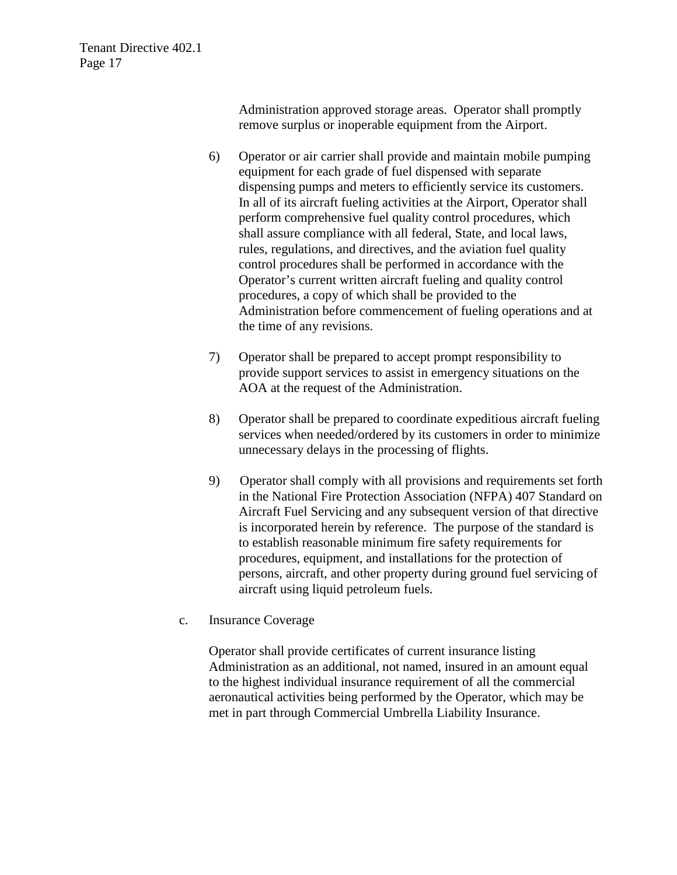Administration approved storage areas. Operator shall promptly remove surplus or inoperable equipment from the Airport.

- 6) Operator or air carrier shall provide and maintain mobile pumping equipment for each grade of fuel dispensed with separate dispensing pumps and meters to efficiently service its customers. In all of its aircraft fueling activities at the Airport, Operator shall perform comprehensive fuel quality control procedures, which shall assure compliance with all federal, State, and local laws, rules, regulations, and directives, and the aviation fuel quality control procedures shall be performed in accordance with the Operator's current written aircraft fueling and quality control procedures, a copy of which shall be provided to the Administration before commencement of fueling operations and at the time of any revisions.
- 7) Operator shall be prepared to accept prompt responsibility to provide support services to assist in emergency situations on the AOA at the request of the Administration.
- 8) Operator shall be prepared to coordinate expeditious aircraft fueling services when needed/ordered by its customers in order to minimize unnecessary delays in the processing of flights.
- 9) Operator shall comply with all provisions and requirements set forth in the National Fire Protection Association (NFPA) 407 Standard on Aircraft Fuel Servicing and any subsequent version of that directive is incorporated herein by reference. The purpose of the standard is to establish reasonable minimum fire safety requirements for procedures, equipment, and installations for the protection of persons, aircraft, and other property during ground fuel servicing of aircraft using liquid petroleum fuels.
- c. Insurance Coverage

Operator shall provide certificates of current insurance listing Administration as an additional, not named, insured in an amount equal to the highest individual insurance requirement of all the commercial aeronautical activities being performed by the Operator, which may be met in part through Commercial Umbrella Liability Insurance.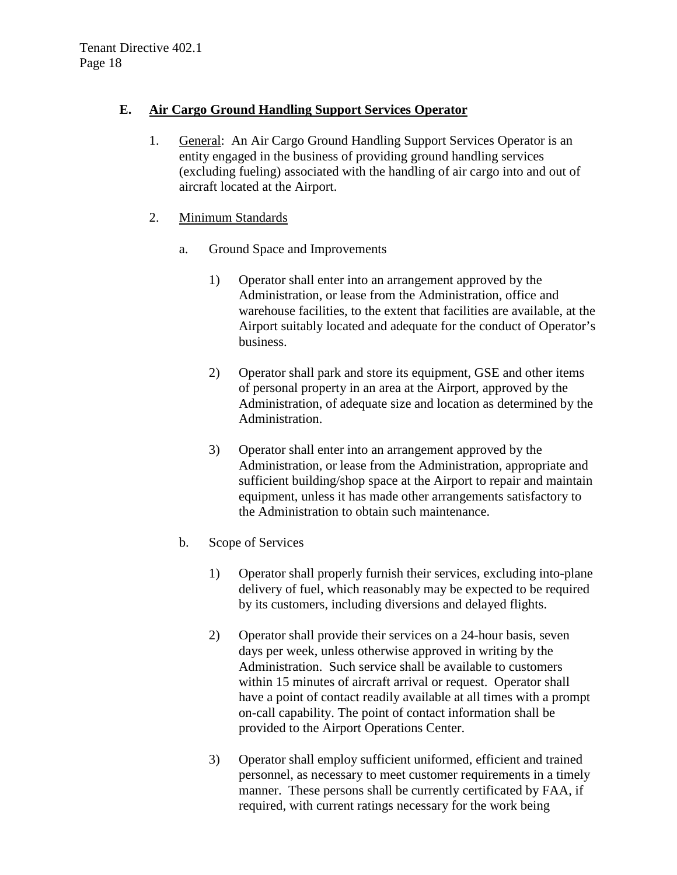#### **E. Air Cargo Ground Handling Support Services Operator**

- 1. General: An Air Cargo Ground Handling Support Services Operator is an entity engaged in the business of providing ground handling services (excluding fueling) associated with the handling of air cargo into and out of aircraft located at the Airport.
- 2. Minimum Standards
	- a. Ground Space and Improvements
		- 1) Operator shall enter into an arrangement approved by the Administration, or lease from the Administration, office and warehouse facilities, to the extent that facilities are available, at the Airport suitably located and adequate for the conduct of Operator's business.
		- 2) Operator shall park and store its equipment, GSE and other items of personal property in an area at the Airport, approved by the Administration, of adequate size and location as determined by the Administration.
		- 3) Operator shall enter into an arrangement approved by the Administration, or lease from the Administration, appropriate and sufficient building/shop space at the Airport to repair and maintain equipment, unless it has made other arrangements satisfactory to the Administration to obtain such maintenance.
	- b. Scope of Services
		- 1) Operator shall properly furnish their services, excluding into-plane delivery of fuel, which reasonably may be expected to be required by its customers, including diversions and delayed flights.
		- 2) Operator shall provide their services on a 24-hour basis, seven days per week, unless otherwise approved in writing by the Administration. Such service shall be available to customers within 15 minutes of aircraft arrival or request. Operator shall have a point of contact readily available at all times with a prompt on-call capability. The point of contact information shall be provided to the Airport Operations Center.
		- 3) Operator shall employ sufficient uniformed, efficient and trained personnel, as necessary to meet customer requirements in a timely manner. These persons shall be currently certificated by FAA, if required, with current ratings necessary for the work being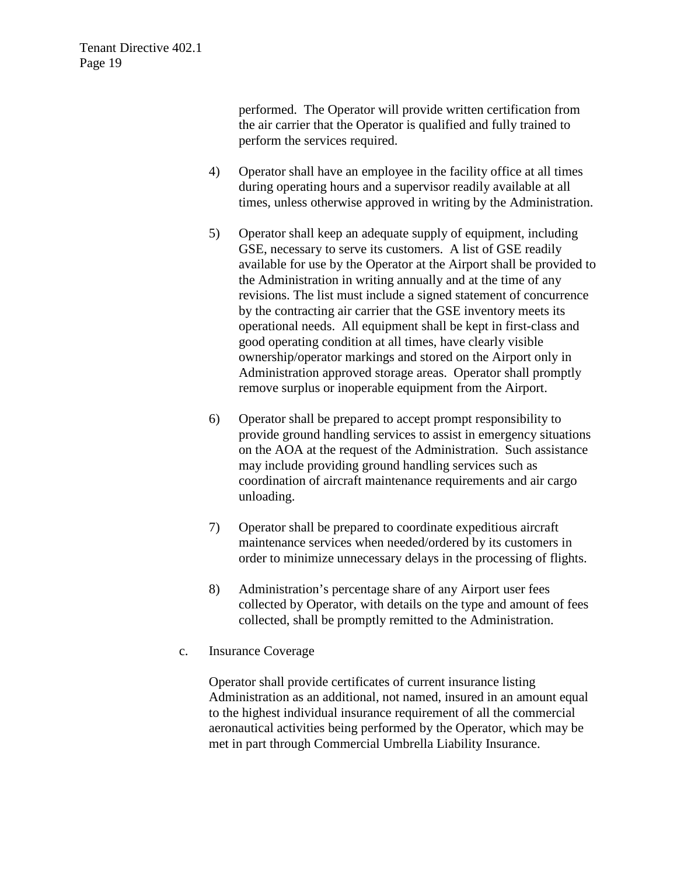performed. The Operator will provide written certification from the air carrier that the Operator is qualified and fully trained to perform the services required.

- 4) Operator shall have an employee in the facility office at all times during operating hours and a supervisor readily available at all times, unless otherwise approved in writing by the Administration.
- 5) Operator shall keep an adequate supply of equipment, including GSE, necessary to serve its customers. A list of GSE readily available for use by the Operator at the Airport shall be provided to the Administration in writing annually and at the time of any revisions. The list must include a signed statement of concurrence by the contracting air carrier that the GSE inventory meets its operational needs. All equipment shall be kept in first-class and good operating condition at all times, have clearly visible ownership/operator markings and stored on the Airport only in Administration approved storage areas. Operator shall promptly remove surplus or inoperable equipment from the Airport.
- 6) Operator shall be prepared to accept prompt responsibility to provide ground handling services to assist in emergency situations on the AOA at the request of the Administration. Such assistance may include providing ground handling services such as coordination of aircraft maintenance requirements and air cargo unloading.
- 7) Operator shall be prepared to coordinate expeditious aircraft maintenance services when needed/ordered by its customers in order to minimize unnecessary delays in the processing of flights.
- 8) Administration's percentage share of any Airport user fees collected by Operator, with details on the type and amount of fees collected, shall be promptly remitted to the Administration.
- c. Insurance Coverage

Operator shall provide certificates of current insurance listing Administration as an additional, not named, insured in an amount equal to the highest individual insurance requirement of all the commercial aeronautical activities being performed by the Operator, which may be met in part through Commercial Umbrella Liability Insurance.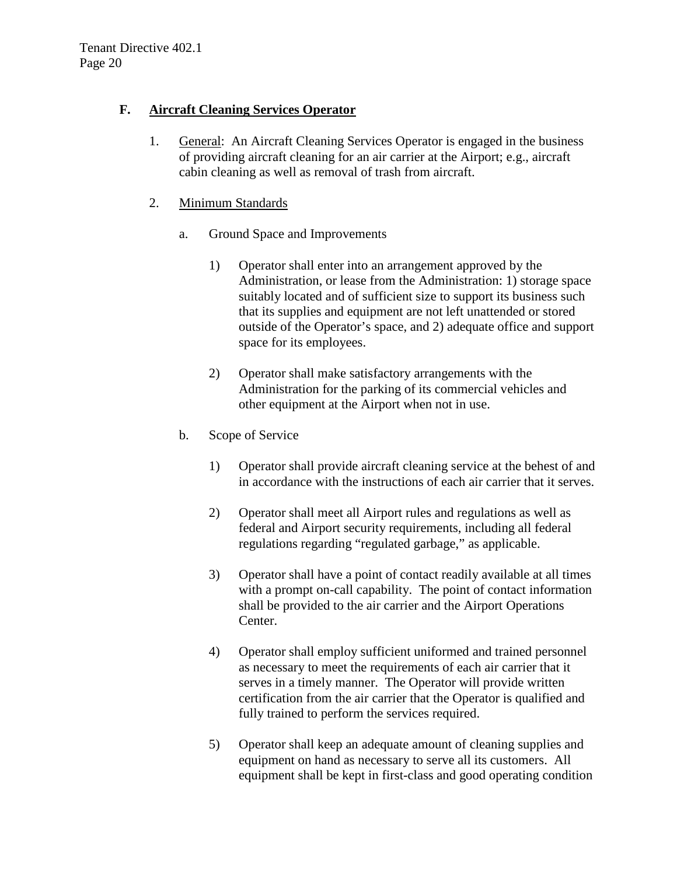## **F. Aircraft Cleaning Services Operator**

1. General: An Aircraft Cleaning Services Operator is engaged in the business of providing aircraft cleaning for an air carrier at the Airport; e.g., aircraft cabin cleaning as well as removal of trash from aircraft.

#### 2. Minimum Standards

- a. Ground Space and Improvements
	- 1) Operator shall enter into an arrangement approved by the Administration, or lease from the Administration: 1) storage space suitably located and of sufficient size to support its business such that its supplies and equipment are not left unattended or stored outside of the Operator's space, and 2) adequate office and support space for its employees.
	- 2) Operator shall make satisfactory arrangements with the Administration for the parking of its commercial vehicles and other equipment at the Airport when not in use.

## b. Scope of Service

- 1) Operator shall provide aircraft cleaning service at the behest of and in accordance with the instructions of each air carrier that it serves.
- 2) Operator shall meet all Airport rules and regulations as well as federal and Airport security requirements, including all federal regulations regarding "regulated garbage," as applicable.
- 3) Operator shall have a point of contact readily available at all times with a prompt on-call capability. The point of contact information shall be provided to the air carrier and the Airport Operations Center.
- 4) Operator shall employ sufficient uniformed and trained personnel as necessary to meet the requirements of each air carrier that it serves in a timely manner. The Operator will provide written certification from the air carrier that the Operator is qualified and fully trained to perform the services required.
- 5) Operator shall keep an adequate amount of cleaning supplies and equipment on hand as necessary to serve all its customers. All equipment shall be kept in first-class and good operating condition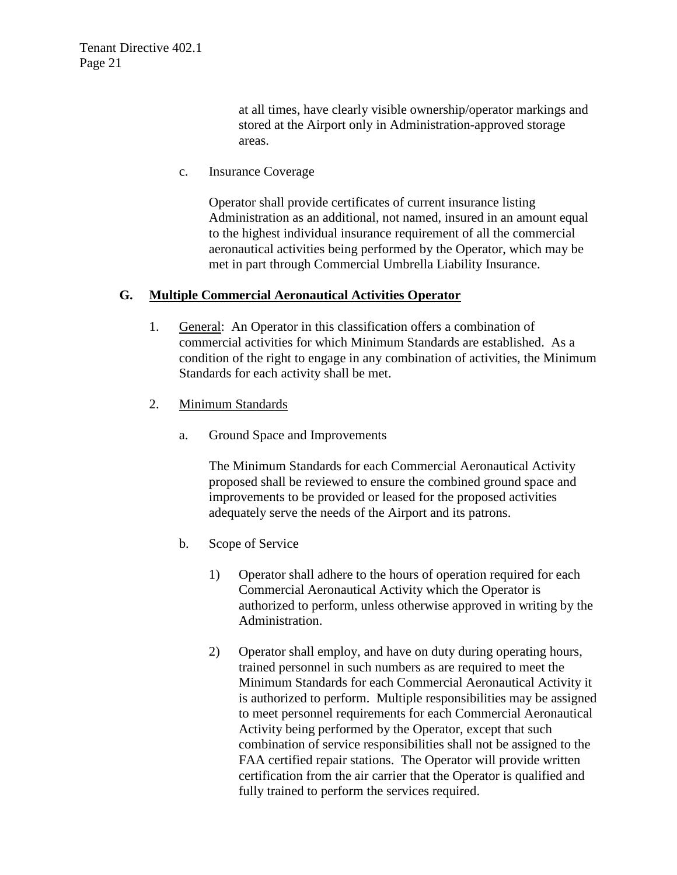at all times, have clearly visible ownership/operator markings and stored at the Airport only in Administration-approved storage areas.

c. Insurance Coverage

Operator shall provide certificates of current insurance listing Administration as an additional, not named, insured in an amount equal to the highest individual insurance requirement of all the commercial aeronautical activities being performed by the Operator, which may be met in part through Commercial Umbrella Liability Insurance.

#### **G. Multiple Commercial Aeronautical Activities Operator**

- 1. General: An Operator in this classification offers a combination of commercial activities for which Minimum Standards are established. As a condition of the right to engage in any combination of activities, the Minimum Standards for each activity shall be met.
- 2. Minimum Standards
	- a. Ground Space and Improvements

The Minimum Standards for each Commercial Aeronautical Activity proposed shall be reviewed to ensure the combined ground space and improvements to be provided or leased for the proposed activities adequately serve the needs of the Airport and its patrons.

- b. Scope of Service
	- 1) Operator shall adhere to the hours of operation required for each Commercial Aeronautical Activity which the Operator is authorized to perform, unless otherwise approved in writing by the Administration.
	- 2) Operator shall employ, and have on duty during operating hours, trained personnel in such numbers as are required to meet the Minimum Standards for each Commercial Aeronautical Activity it is authorized to perform. Multiple responsibilities may be assigned to meet personnel requirements for each Commercial Aeronautical Activity being performed by the Operator, except that such combination of service responsibilities shall not be assigned to the FAA certified repair stations. The Operator will provide written certification from the air carrier that the Operator is qualified and fully trained to perform the services required.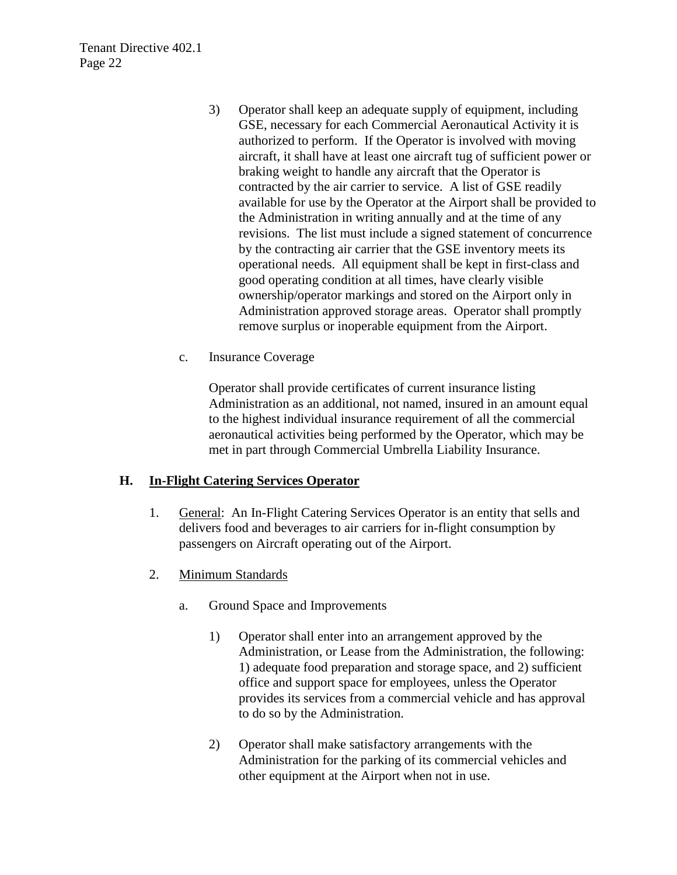- 3) Operator shall keep an adequate supply of equipment, including GSE, necessary for each Commercial Aeronautical Activity it is authorized to perform. If the Operator is involved with moving aircraft, it shall have at least one aircraft tug of sufficient power or braking weight to handle any aircraft that the Operator is contracted by the air carrier to service. A list of GSE readily available for use by the Operator at the Airport shall be provided to the Administration in writing annually and at the time of any revisions. The list must include a signed statement of concurrence by the contracting air carrier that the GSE inventory meets its operational needs. All equipment shall be kept in first-class and good operating condition at all times, have clearly visible ownership/operator markings and stored on the Airport only in Administration approved storage areas. Operator shall promptly remove surplus or inoperable equipment from the Airport.
- c. Insurance Coverage

Operator shall provide certificates of current insurance listing Administration as an additional, not named, insured in an amount equal to the highest individual insurance requirement of all the commercial aeronautical activities being performed by the Operator, which may be met in part through Commercial Umbrella Liability Insurance.

#### **H. In-Flight Catering Services Operator**

- 1. General: An In-Flight Catering Services Operator is an entity that sells and delivers food and beverages to air carriers for in-flight consumption by passengers on Aircraft operating out of the Airport.
- 2. Minimum Standards
	- a. Ground Space and Improvements
		- 1) Operator shall enter into an arrangement approved by the Administration, or Lease from the Administration, the following: 1) adequate food preparation and storage space, and 2) sufficient office and support space for employees, unless the Operator provides its services from a commercial vehicle and has approval to do so by the Administration.
		- 2) Operator shall make satisfactory arrangements with the Administration for the parking of its commercial vehicles and other equipment at the Airport when not in use.